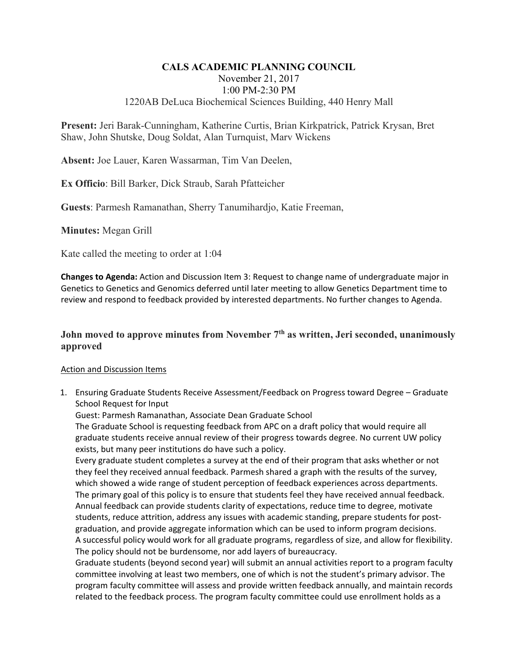## **CALS ACADEMIC PLANNING COUNCIL**  November 21, 2017 1:00 PM-2:30 PM 1220AB DeLuca Biochemical Sciences Building, 440 Henry Mall

**Present:** Jeri Barak-Cunningham, Katherine Curtis, Brian Kirkpatrick, Patrick Krysan, Bret Shaw, John Shutske, Doug Soldat, Alan Turnquist, Marv Wickens

**Absent:** Joe Lauer, Karen Wassarman, Tim Van Deelen,

**Ex Officio**: Bill Barker, Dick Straub, Sarah Pfatteicher

**Guests**: Parmesh Ramanathan, Sherry Tanumihardjo, Katie Freeman,

**Minutes:** Megan Grill

Kate called the meeting to order at 1:04

**Changes to Agenda:** Action and Discussion Item 3: Request to change name of undergraduate major in Genetics to Genetics and Genomics deferred until later meeting to allow Genetics Department time to review and respond to feedback provided by interested departments. No further changes to Agenda.

# John moved to approve minutes from November 7<sup>th</sup> as written, Jeri seconded, unanimously **approved**

#### Action and Discussion Items

1. Ensuring Graduate Students Receive Assessment/Feedback on Progress toward Degree – Graduate School Request for Input

Guest: Parmesh Ramanathan, Associate Dean Graduate School

The Graduate School is requesting feedback from APC on a draft policy that would require all graduate students receive annual review of their progress towards degree. No current UW policy exists, but many peer institutions do have such a policy.

Every graduate student completes a survey at the end of their program that asks whether or not they feel they received annual feedback. Parmesh shared a graph with the results of the survey, which showed a wide range of student perception of feedback experiences across departments. The primary goal of this policy is to ensure that students feel they have received annual feedback. Annual feedback can provide students clarity of expectations, reduce time to degree, motivate students, reduce attrition, address any issues with academic standing, prepare students for postgraduation, and provide aggregate information which can be used to inform program decisions. A successful policy would work for all graduate programs, regardless of size, and allow for flexibility. The policy should not be burdensome, nor add layers of bureaucracy.

Graduate students (beyond second year) will submit an annual activities report to a program faculty committee involving at least two members, one of which is not the student's primary advisor. The program faculty committee will assess and provide written feedback annually, and maintain records related to the feedback process. The program faculty committee could use enrollment holds as a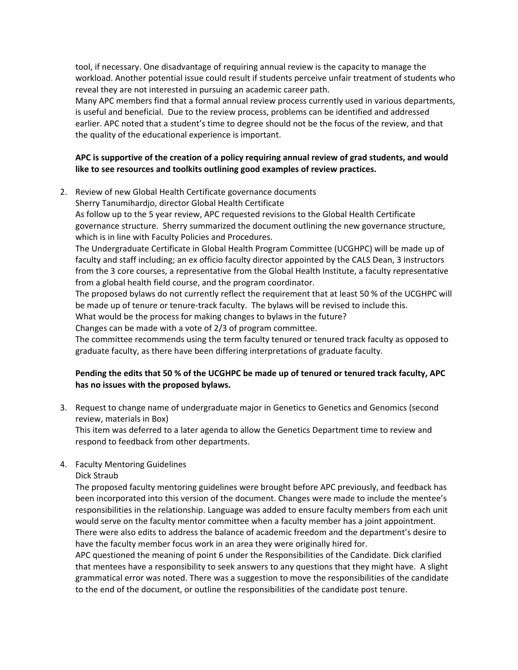tool, if necessary. One disadvantage of requiring annual review is the capacity to manage the workload. Another potential issue could result if students perceive unfair treatment of students who reveal they are not interested in pursuing an academic career path.

Many APC members find that a formal annual review process currently used in various departments, is useful and beneficial. Due to the review process, problems can be identified and addressed earlier. APC noted that a student's time to degree should not be the focus of the review, and that the quality of the educational experience is important.

### **APC is supportive of the creation of a policy requiring annual review of grad students, and would like to see resources and toolkits outlining good examples of review practices.**

2. Review of new Global Health Certificate governance documents

Sherry Tanumihardjo, director Global Health Certificate

As follow up to the 5 year review, APC requested revisions to the Global Health Certificate governance structure. Sherry summarized the document outlining the new governance structure, which is in line with Faculty Policies and Procedures.

The Undergraduate Certificate in Global Health Program Committee (UCGHPC) will be made up of faculty and staff including; an ex officio faculty director appointed by the CALS Dean, 3 instructors from the 3 core courses, a representative from the Global Health Institute, a faculty representative from a global health field course, and the program coordinator.

The proposed bylaws do not currently reflect the requirement that at least 50 % of the UCGHPC will be made up of tenure or tenure-track faculty. The bylaws will be revised to include this. What would be the process for making changes to bylaws in the future?

Changes can be made with a vote of 2/3 of program committee.

The committee recommends using the term faculty tenured or tenured track faculty as opposed to graduate faculty, as there have been differing interpretations of graduate faculty.

## **Pending the edits that 50 % of the UCGHPC be made up of tenured or tenured track faculty, APC has no issues with the proposed bylaws.**

3. Request to change name of undergraduate major in Genetics to Genetics and Genomics (second review, materials in Box)

This item was deferred to a later agenda to allow the Genetics Department time to review and respond to feedback from other departments.

## 4. Faculty Mentoring Guidelines

Dick Straub

The proposed faculty mentoring guidelines were brought before APC previously, and feedback has been incorporated into this version of the document. Changes were made to include the mentee's responsibilities in the relationship. Language was added to ensure faculty members from each unit would serve on the faculty mentor committee when a faculty member has a joint appointment. There were also edits to address the balance of academic freedom and the department's desire to have the faculty member focus work in an area they were originally hired for.

APC questioned the meaning of point 6 under the Responsibilities of the Candidate. Dick clarified that mentees have a responsibility to seek answers to any questions that they might have. A slight grammatical error was noted. There was a suggestion to move the responsibilities of the candidate to the end of the document, or outline the responsibilities of the candidate post tenure.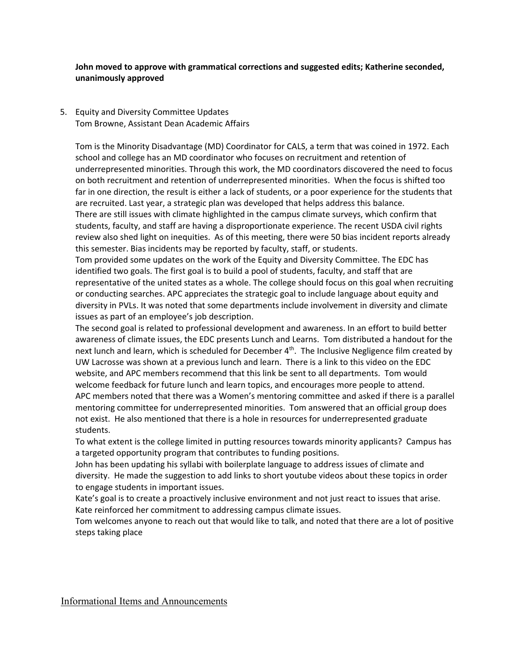**John moved to approve with grammatical corrections and suggested edits; Katherine seconded, unanimously approved** 

5. Equity and Diversity Committee Updates Tom Browne, Assistant Dean Academic Affairs

Tom is the Minority Disadvantage (MD) Coordinator for CALS, a term that was coined in 1972. Each school and college has an MD coordinator who focuses on recruitment and retention of underrepresented minorities. Through this work, the MD coordinators discovered the need to focus on both recruitment and retention of underrepresented minorities. When the focus is shifted too far in one direction, the result is either a lack of students, or a poor experience for the students that are recruited. Last year, a strategic plan was developed that helps address this balance. There are still issues with climate highlighted in the campus climate surveys, which confirm that students, faculty, and staff are having a disproportionate experience. The recent USDA civil rights review also shed light on inequities. As of this meeting, there were 50 bias incident reports already this semester. Bias incidents may be reported by faculty, staff, or students.

Tom provided some updates on the work of the Equity and Diversity Committee. The EDC has identified two goals. The first goal is to build a pool of students, faculty, and staff that are representative of the united states as a whole. The college should focus on this goal when recruiting or conducting searches. APC appreciates the strategic goal to include language about equity and diversity in PVLs. It was noted that some departments include involvement in diversity and climate issues as part of an employee's job description.

The second goal is related to professional development and awareness. In an effort to build better awareness of climate issues, the EDC presents Lunch and Learns. Tom distributed a handout for the next lunch and learn, which is scheduled for December  $4<sup>th</sup>$ . The Inclusive Negligence film created by UW Lacrosse was shown at a previous lunch and learn. There is a link to this video on the EDC website, and APC members recommend that this link be sent to all departments. Tom would welcome feedback for future lunch and learn topics, and encourages more people to attend. APC members noted that there was a Women's mentoring committee and asked if there is a parallel mentoring committee for underrepresented minorities. Tom answered that an official group does not exist. He also mentioned that there is a hole in resources for underrepresented graduate students.

To what extent is the college limited in putting resources towards minority applicants? Campus has a targeted opportunity program that contributes to funding positions.

John has been updating his syllabi with boilerplate language to address issues of climate and diversity. He made the suggestion to add links to short youtube videos about these topics in order to engage students in important issues.

Kate's goal is to create a proactively inclusive environment and not just react to issues that arise. Kate reinforced her commitment to addressing campus climate issues.

Tom welcomes anyone to reach out that would like to talk, and noted that there are a lot of positive steps taking place